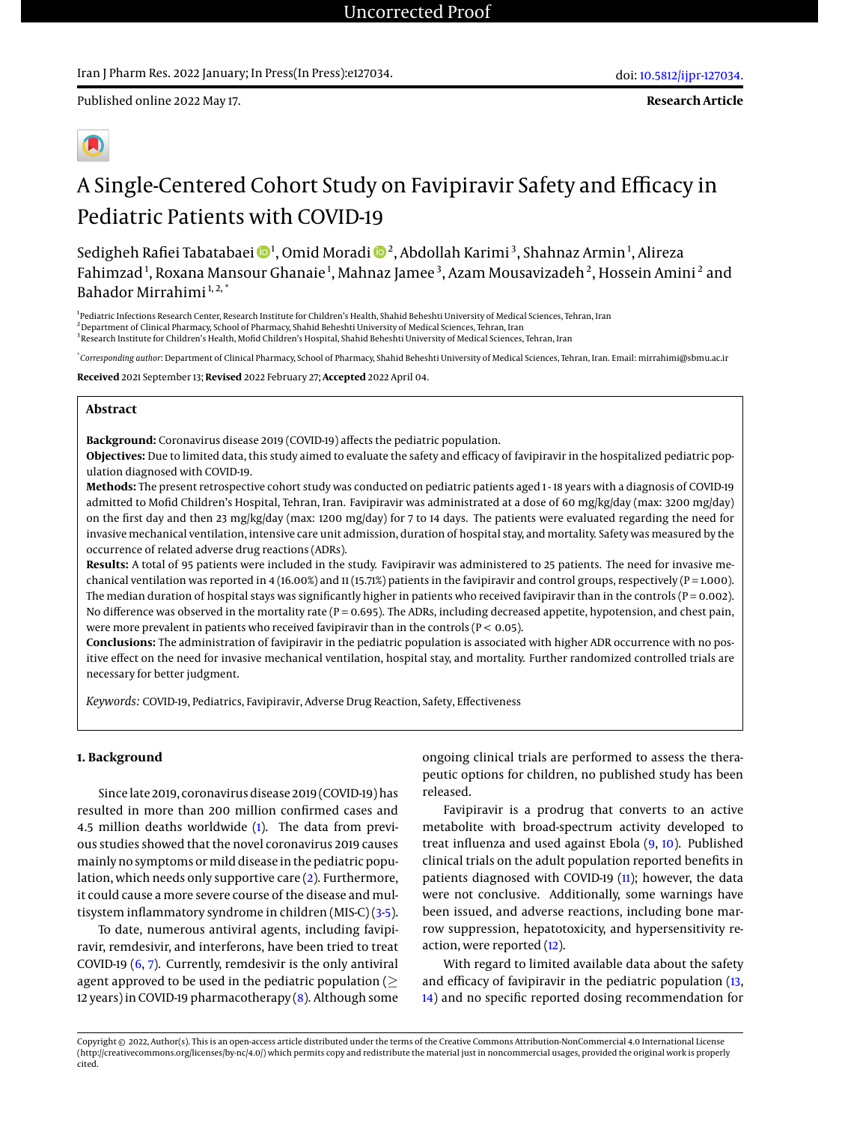**Research Article**



# A Single-Centered Cohort Study on Favipiravir Safety and Efficacy in Pediatric Patients with COVID-19

Sedigheh Rafiei Tabatabaei ��4, Omid Moradi ��2, Abdollah Karimi<sup>3</sup>, Shahnaz Armin<sup>1</sup>, Alireza Fahimzad<sup>1</sup>, Roxana Mansour Ghanaie<sup>1</sup>, Mahnaz Jamee<sup>3</sup>, Azam Mousavizadeh<sup>2</sup>, Hossein Amini<sup>2</sup> and Bahador Mirrahimi<sup>1,2,\*</sup>

<sup>1</sup> Pediatric Infections Research Center, Research Institute for Children's Health, Shahid Beheshti University of Medical Sciences, Tehran, Iran <sup>2</sup> Department of Clinical Pharmacy, School of Pharmacy, Shahid Beheshti University of Medical Sciences, Tehran, Iran <sup>3</sup> Research Institute for Children's Health, Mofid Children's Hospital, Shahid Beheshti University of Medical Sciences, Tehran, Iran

\* *Corresponding author*: Department of Clinical Pharmacy, School of Pharmacy, Shahid Beheshti University of Medical Sciences, Tehran, Iran. Email: mirrahimi@sbmu.ac.ir

**Received** 2021 September 13; **Revised** 2022 February 27; **Accepted** 2022 April 04.

# **Abstract**

**Background:** Coronavirus disease 2019 (COVID-19) affects the pediatric population.

**Objectives:** Due to limited data, this study aimed to evaluate the safety and efficacy of favipiravir in the hospitalized pediatric population diagnosed with COVID-19.

**Methods:** The present retrospective cohort study was conducted on pediatric patients aged 1 - 18 years with a diagnosis of COVID-19 admitted to Mofid Children's Hospital, Tehran, Iran. Favipiravir was administrated at a dose of 60 mg/kg/day (max: 3200 mg/day) on the first day and then 23 mg/kg/day (max: 1200 mg/day) for 7 to 14 days. The patients were evaluated regarding the need for invasive mechanical ventilation, intensive care unit admission, duration of hospital stay, and mortality. Safety was measured by the occurrence of related adverse drug reactions (ADRs).

**Results:** A total of 95 patients were included in the study. Favipiravir was administered to 25 patients. The need for invasive mechanical ventilation was reported in 4 (16.00%) and 11 (15.71%) patients in the favipiravir and control groups, respectively (P = 1.000). The median duration of hospital stays was significantly higher in patients who received favipiravir than in the controls ( $P = 0.002$ ). No difference was observed in the mortality rate (P = 0.695). The ADRs, including decreased appetite, hypotension, and chest pain, were more prevalent in patients who received favipiravir than in the controls ( $P < 0.05$ ).

**Conclusions:** The administration of favipiravir in the pediatric population is associated with higher ADR occurrence with no positive effect on the need for invasive mechanical ventilation, hospital stay, and mortality. Further randomized controlled trials are necessary for better judgment.

*Keywords:* COVID-19, Pediatrics, Favipiravir, Adverse Drug Reaction, Safety, Effectiveness

## **1. Background**

Since late 2019, coronavirus disease 2019 (COVID-19) has resulted in more than 200 million confirmed cases and 4.5 million deaths worldwide [\(1\)](#page-5-0). The data from previous studies showed that the novel coronavirus 2019 causes mainly no symptoms or mild disease in the pediatric population, which needs only supportive care [\(2\)](#page-5-1). Furthermore, it could cause a more severe course of the disease and multisystem inflammatory syndrome in children (MIS-C) [\(3](#page-5-2)[-5\)](#page-5-3).

To date, numerous antiviral agents, including favipiravir, remdesivir, and interferons, have been tried to treat COVID-19 [\(6,](#page-5-4) [7\)](#page-5-5). Currently, remdesivir is the only antiviral agent approved to be used in the pediatric population ( $\geq$ 12 years) in COVID-19 pharmacotherapy [\(8\)](#page-5-6). Although some

ongoing clinical trials are performed to assess the therapeutic options for children, no published study has been released.

Favipiravir is a prodrug that converts to an active metabolite with broad-spectrum activity developed to treat influenza and used against Ebola [\(9,](#page-5-7) [10\)](#page-5-8). Published clinical trials on the adult population reported benefits in patients diagnosed with COVID-19 [\(11\)](#page-5-9); however, the data were not conclusive. Additionally, some warnings have been issued, and adverse reactions, including bone marrow suppression, hepatotoxicity, and hypersensitivity reaction, were reported [\(12\)](#page-5-10).

With regard to limited available data about the safety and efficacy of favipiravir in the pediatric population [\(13,](#page-5-11) [14\)](#page-5-12) and no specific reported dosing recommendation for

Copyright © 2022, Author(s). This is an open-access article distributed under the terms of the Creative Commons Attribution-NonCommercial 4.0 International License (http://creativecommons.org/licenses/by-nc/4.0/) which permits copy and redistribute the material just in noncommercial usages, provided the original work is properly cited.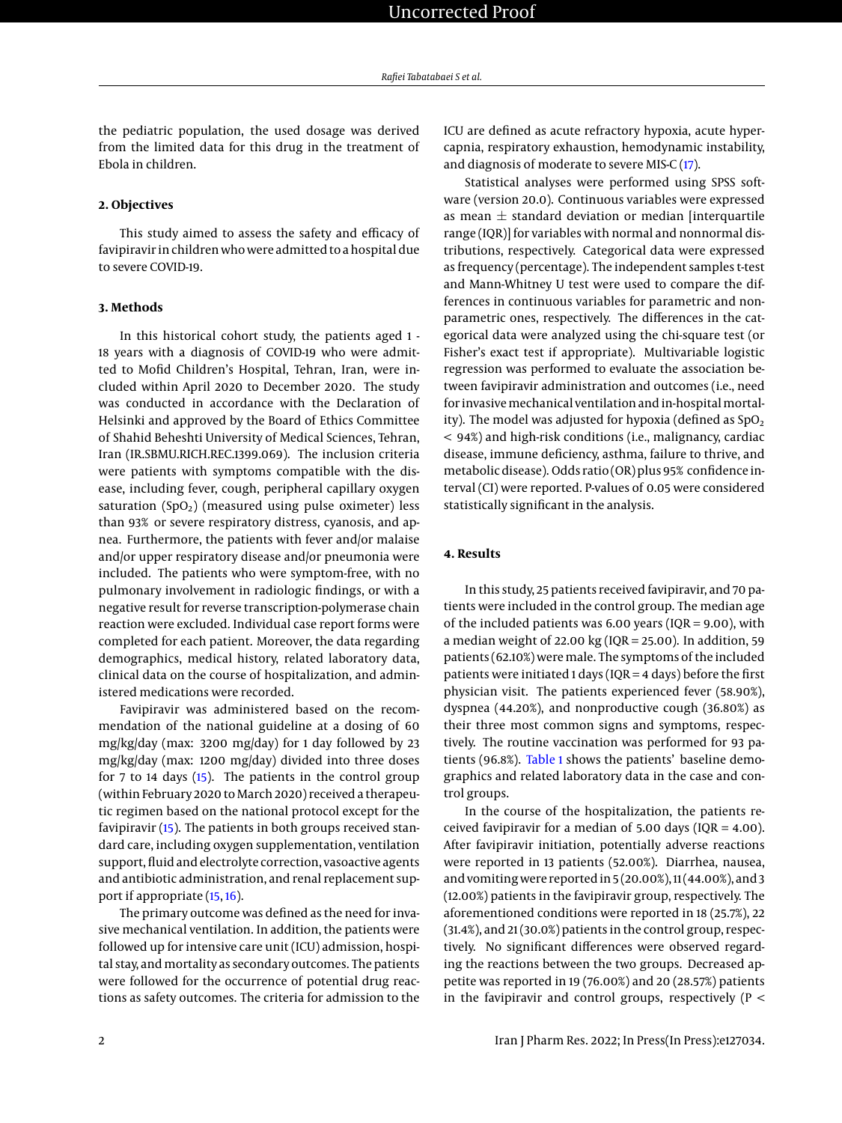the pediatric population, the used dosage was derived from the limited data for this drug in the treatment of Ebola in children.

#### **2. Objectives**

This study aimed to assess the safety and efficacy of favipiravir in children who were admitted to a hospital due to severe COVID-19.

# **3. Methods**

In this historical cohort study, the patients aged 1 - 18 years with a diagnosis of COVID-19 who were admitted to Mofid Children's Hospital, Tehran, Iran, were included within April 2020 to December 2020. The study was conducted in accordance with the Declaration of Helsinki and approved by the Board of Ethics Committee of Shahid Beheshti University of Medical Sciences, Tehran, Iran (IR.SBMU.RICH.REC.1399.069). The inclusion criteria were patients with symptoms compatible with the disease, including fever, cough, peripheral capillary oxygen saturation  $(SpO<sub>2</sub>)$  (measured using pulse oximeter) less than 93% or severe respiratory distress, cyanosis, and apnea. Furthermore, the patients with fever and/or malaise and/or upper respiratory disease and/or pneumonia were included. The patients who were symptom-free, with no pulmonary involvement in radiologic findings, or with a negative result for reverse transcription-polymerase chain reaction were excluded. Individual case report forms were completed for each patient. Moreover, the data regarding demographics, medical history, related laboratory data, clinical data on the course of hospitalization, and administered medications were recorded.

Favipiravir was administered based on the recommendation of the national guideline at a dosing of 60 mg/kg/day (max: 3200 mg/day) for 1 day followed by 23 mg/kg/day (max: 1200 mg/day) divided into three doses for 7 to 14 days [\(15\)](#page-5-13). The patients in the control group (within February 2020 to March 2020) received a therapeutic regimen based on the national protocol except for the favipiravir [\(15\)](#page-5-13). The patients in both groups received standard care, including oxygen supplementation, ventilation support, fluid and electrolyte correction, vasoactive agents and antibiotic administration, and renal replacement support if appropriate [\(15,](#page-5-13) [16\)](#page-6-0).

The primary outcome was defined as the need for invasive mechanical ventilation. In addition, the patients were followed up for intensive care unit (ICU) admission, hospital stay, and mortality as secondary outcomes. The patients were followed for the occurrence of potential drug reactions as safety outcomes. The criteria for admission to the

ICU are defined as acute refractory hypoxia, acute hypercapnia, respiratory exhaustion, hemodynamic instability, and diagnosis of moderate to severe MIS-C [\(17\)](#page-6-1).

Statistical analyses were performed using SPSS software (version 20.0). Continuous variables were expressed as mean  $\pm$  standard deviation or median [interquartile range (IQR)] for variables with normal and nonnormal distributions, respectively. Categorical data were expressed as frequency (percentage). The independent samples t-test and Mann-Whitney U test were used to compare the differences in continuous variables for parametric and nonparametric ones, respectively. The differences in the categorical data were analyzed using the chi-square test (or Fisher's exact test if appropriate). Multivariable logistic regression was performed to evaluate the association between favipiravir administration and outcomes (i.e., need for invasive mechanical ventilation and in-hospital mortality). The model was adjusted for hypoxia (defined as  $SpO<sub>2</sub>$ < 94%) and high-risk conditions (i.e., malignancy, cardiac disease, immune deficiency, asthma, failure to thrive, and metabolic disease). Odds ratio (OR) plus 95% confidence interval (CI) were reported. P-values of 0.05 were considered statistically significant in the analysis.

## **4. Results**

In this study, 25 patients received favipiravir, and 70 patients were included in the control group. The median age of the included patients was 6.00 years (IQR = 9.00), with a median weight of 22.00 kg (IQR = 25.00). In addition, 59 patients (62.10%) were male. The symptoms of the included patients were initiated 1 days (IQR = 4 days) before the first physician visit. The patients experienced fever (58.90%), dyspnea (44.20%), and nonproductive cough (36.80%) as their three most common signs and symptoms, respectively. The routine vaccination was performed for 93 patients (96.8%). [Table 1](#page-2-0) shows the patients' baseline demographics and related laboratory data in the case and control groups.

In the course of the hospitalization, the patients received favipiravir for a median of 5.00 days (IQR = 4.00). After favipiravir initiation, potentially adverse reactions were reported in 13 patients (52.00%). Diarrhea, nausea, and vomiting were reported in 5 (20.00%), 11 (44.00%), and 3 (12.00%) patients in the favipiravir group, respectively. The aforementioned conditions were reported in 18 (25.7%), 22 (31.4%), and 21 (30.0%) patients in the control group, respectively. No significant differences were observed regarding the reactions between the two groups. Decreased appetite was reported in 19 (76.00%) and 20 (28.57%) patients in the favipiravir and control groups, respectively ( $P <$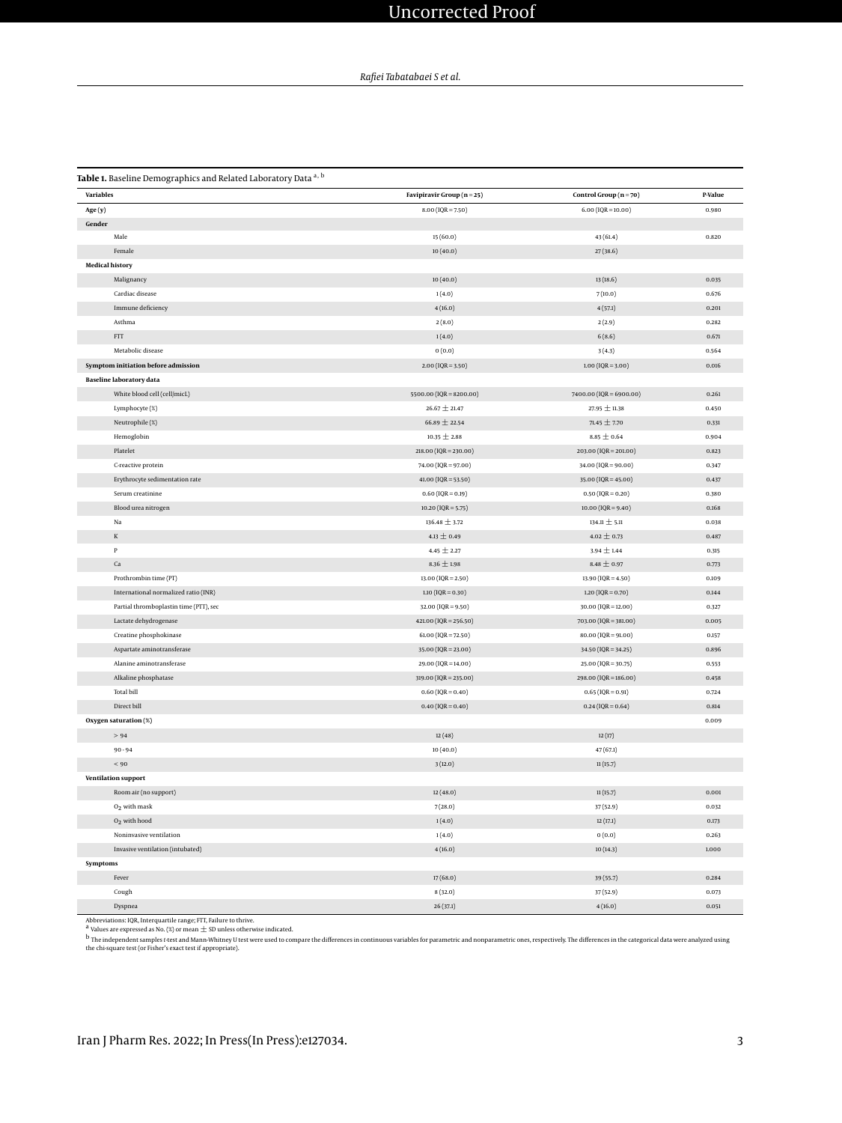<span id="page-2-0"></span>Table 1. Baseline Demographics and Related Laboratory Data a, b

| <b>Variables</b> |                                        | Favipiravir Group (n = 25)  | Control Group $(n = 70)$  | P-Value |  |
|------------------|----------------------------------------|-----------------------------|---------------------------|---------|--|
| Age (y)          |                                        | $8.00 (IQR = 7.50)$         | $6.00 (IQR = 10.00)$      | 0.980   |  |
| Gender           |                                        |                             |                           |         |  |
|                  | Male                                   | 15(60.0)                    | 43(61.4)                  | 0.820   |  |
|                  | Female                                 | 10(40.0)                    | 27(38.6)                  |         |  |
|                  | <b>Medical history</b>                 |                             |                           |         |  |
|                  | Malignancy                             | 10(40.0)                    | 13(18.6)                  | 0.035   |  |
|                  | Cardiac disease                        | 1(4.0)                      | 7(10.0)                   | 0.676   |  |
|                  | Immune deficiency                      | 4(16.0)                     | 4(57.1)                   | 0.201   |  |
|                  | Asthma                                 | 2(8.0)                      | 2(2.9)                    | 0.282   |  |
|                  | $\ensuremath{\mathsf{FTT}}$            | 1(4.0)                      | 6(8.6)                    | 0.671   |  |
|                  | Metabolic disease                      | 0(0.0)                      | 3(4.3)                    | 0.564   |  |
|                  | Symptom initiation before admission    | $2.00$ (IQR = 3.50)         | $1.00 (IQR = 3.00)$       | 0.016   |  |
|                  | <b>Baseline laboratory data</b>        |                             |                           |         |  |
|                  | White blood cell (cell/micL)           | 5500.00 ( $IQR = 8200.00$ ) | $7400.00$ (IQR = 6900.00) | 0.261   |  |
|                  | Lymphocyte (%)                         | 26.67 $\pm$ 21.47           | 27.95 $\pm$ 11.38         | 0.450   |  |
|                  | Neutrophile (%)                        | 66.89 $\pm$ 22.54           | 71.45 $\pm$ 7.70          | 0.331   |  |
|                  | Hemoglobin                             | $10.35 \pm 2.88$            | $8.85 \pm 0.64$           | 0.904   |  |
|                  | Platelet                               | $218.00 (IQR = 230.00)$     | 203.00 (IQR = 201.00)     | 0.823   |  |
|                  | C-reactive protein                     | 74.00 (IQR = 97.00)         | 34.00 ( $IQR = 90.00$ )   | 0.347   |  |
|                  | Erythrocyte sedimentation rate         | $41.00 (IQR = 53.50)$       | 35.00 ( $IQR = 45.00$ )   | 0.437   |  |
|                  | Serum creatinine                       | $0.60$ (IQR = 0.19)         | $0.50$ (IQR = 0.20)       | 0.380   |  |
|                  | Blood urea nitrogen                    | $10.20$ (IQR = 5.75)        | $10.00 (IQR = 9.40)$      | 0.168   |  |
|                  | Na                                     | 136.48 ± 3.72               | 134.11 $\pm$ 5.11         | 0.038   |  |
|                  | $\mathbbm{K}$                          | $4.13 \pm 0.49$             | $4.02 \pm 0.73$           | 0.487   |  |
|                  | $\, {\bf p}$                           | $4.45 \pm 2.27$             | $3.94 \pm 1.44$           | 0.315   |  |
|                  | $\rm Ca$                               | 8.36 $\pm$ 1.98             | $8.48 \pm 0.97$           | 0.773   |  |
|                  | Prothrombin time (PT)                  | $13.00 (IQR = 2.50)$        | $13.90 (IQR = 4.50)$      | 0.109   |  |
|                  | International normalized ratio (INR)   | $1.10$ (IQR = 0.30)         | $1.20$ (IQR = 0.70)       | 0.144   |  |
|                  | Partial thromboplastin time (PTT), sec | $32.00$ (IQR = 9.50)        | $30.00 (IQR = 12.00)$     | 0.327   |  |
|                  | Lactate dehydrogenase                  | $421.00 (IQR = 256.50)$     | $703.00 (IQR = 381.00)$   | 0.005   |  |
|                  | Creatine phosphokinase                 | $61.00 (IQR = 72.50)$       | 80.00 (IQR = 91.00)       | 0.157   |  |
|                  | Aspartate aminotransferase             | 35.00 (IQR = 23.00)         | $34.50$ (IQR = 34.25)     | 0.896   |  |
|                  | Alanine aminotransferase               | 29.00 (IQR = 14.00)         | $25.00 (IQR = 30.75)$     | 0.553   |  |
|                  | Alkaline phosphatase                   | 319.00 (IQR = 235.00)       | 298.00 (IQR = 186.00)     | 0.458   |  |
|                  | <b>Total bill</b>                      | $0.60 (IQR = 0.40)$         | $0.65$ (IQR = 0.91)       | 0.724   |  |
|                  | Direct bill                            | $0.40$ (IQR = 0.40)         | $0.24$ (IQR = 0.64)       | 0.814   |  |
|                  | Oxygen saturation (%)                  |                             |                           | 0.009   |  |
|                  | > 94                                   | 12(48)                      | 12(17)                    |         |  |
|                  | $90 - 94$                              | 10(40.0)                    | 47(67.1)                  |         |  |
|                  | $< 90$                                 | 3(12.0)                     | 11(15.7)                  |         |  |
|                  | <b>Ventilation support</b>             |                             |                           |         |  |
|                  | Room air (no support)                  | 12(48.0)                    | 11(15.7)                  | 0.001   |  |
|                  | $O2$ with mask                         | 7(28.0)                     | 37 (52.9)                 | 0.032   |  |
|                  | O <sub>2</sub> with hood               | 1(4.0)                      | 12(17.1)                  | 0.173   |  |
|                  | Noninvasive ventilation                | 1(4.0)                      | 0(0.0)                    | 0.263   |  |
|                  | Invasive ventilation (intubated)       | 4(16.0)                     | 10(14.3)                  | 1.000   |  |
| Symptoms         |                                        |                             |                           |         |  |
|                  | Fever                                  | 17(68.0)                    | 39 (55.7)                 | 0.284   |  |
|                  | Cough                                  | 8(32.0)                     | 37 (52.9)                 | 0.073   |  |
|                  | Dyspnea                                | 26(37.1)                    | 4(16.0)                   | 0.051   |  |

Abbreviations: IQR, Interquartile range; FTT, Failure to thrive.<br><sup>4</sup> Values are expressed as No. (%) or mean ± SD unless otherwise indicated.<br><sup>b</sup> The independent samples t-test and Mann-Whitney U test were used to compare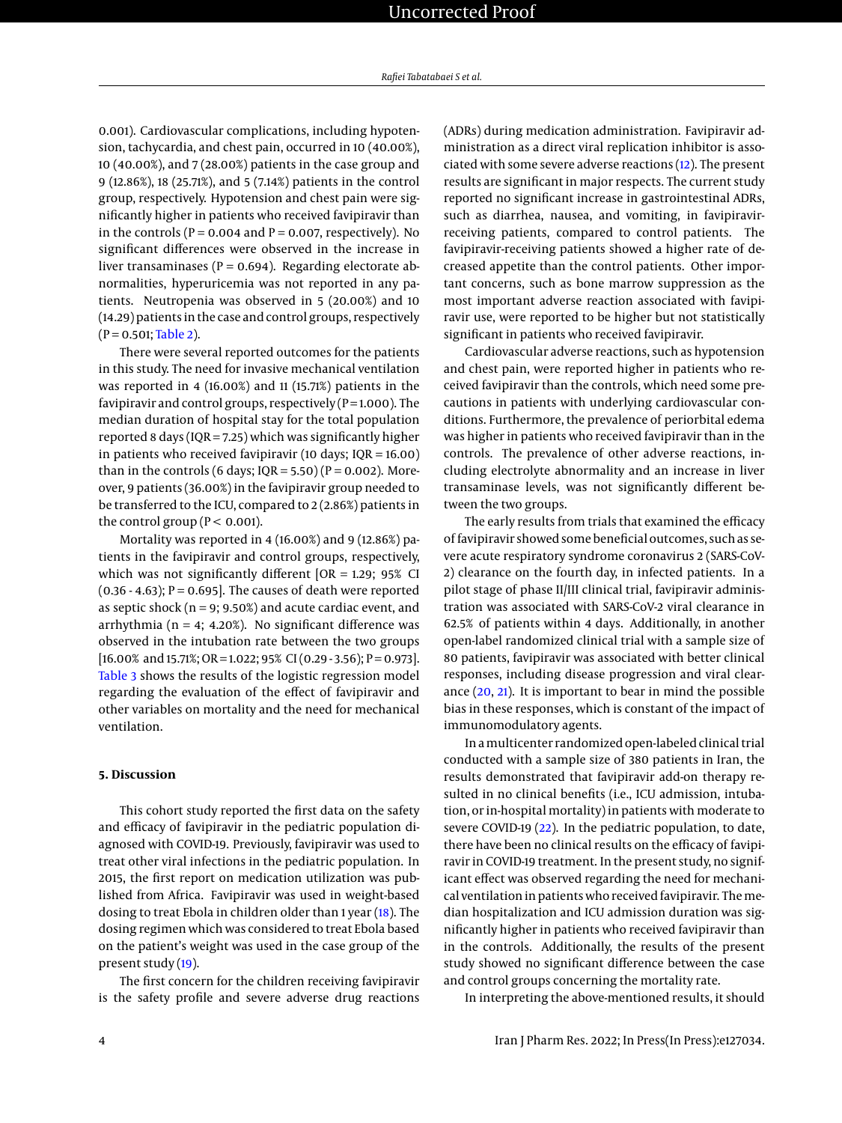0.001). Cardiovascular complications, including hypotension, tachycardia, and chest pain, occurred in 10 (40.00%), 10 (40.00%), and 7 (28.00%) patients in the case group and 9 (12.86%), 18 (25.71%), and 5 (7.14%) patients in the control group, respectively. Hypotension and chest pain were significantly higher in patients who received favipiravir than in the controls ( $P = 0.004$  and  $P = 0.007$ , respectively). No significant differences were observed in the increase in liver transaminases ( $P = 0.694$ ). Regarding electorate abnormalities, hyperuricemia was not reported in any patients. Neutropenia was observed in 5 (20.00%) and 10 (14.29) patients in the case and control groups, respectively  $(P = 0.501;$ [Table 2\)](#page-4-0).

There were several reported outcomes for the patients in this study. The need for invasive mechanical ventilation was reported in 4 (16.00%) and 11 (15.71%) patients in the favipiravir and control groups, respectively  $(P=1.000)$ . The median duration of hospital stay for the total population reported 8 days (IQR = 7.25) which was significantly higher in patients who received favipiravir (10 days; IQR = 16.00) than in the controls (6 days;  $IQR = 5.50$ ) ( $P = 0.002$ ). Moreover, 9 patients (36.00%) in the favipiravir group needed to be transferred to the ICU, compared to 2 (2.86%) patients in the control group ( $P < 0.001$ ).

Mortality was reported in 4 (16.00%) and 9 (12.86%) patients in the favipiravir and control groups, respectively, which was not significantly different [OR = 1.29; 95% CI  $(0.36 - 4.63)$ ; P = 0.695]. The causes of death were reported as septic shock ( $n = 9$ ; 9.50%) and acute cardiac event, and arrhythmia ( $n = 4$ ; 4.20%). No significant difference was observed in the intubation rate between the two groups  $[16.00\%$  and 15.71%; OR = 1.022; 95% CI (0.29 - 3.56); P = 0.973]. [Table 3](#page-4-1) shows the results of the logistic regression model regarding the evaluation of the effect of favipiravir and other variables on mortality and the need for mechanical ventilation.

## **5. Discussion**

This cohort study reported the first data on the safety and efficacy of favipiravir in the pediatric population diagnosed with COVID-19. Previously, favipiravir was used to treat other viral infections in the pediatric population. In 2015, the first report on medication utilization was published from Africa. Favipiravir was used in weight-based dosing to treat Ebola in children older than 1 year [\(18\)](#page-6-2). The dosing regimen which was considered to treat Ebola based on the patient's weight was used in the case group of the present study [\(19\)](#page-6-3).

The first concern for the children receiving favipiravir is the safety profile and severe adverse drug reactions

(ADRs) during medication administration. Favipiravir administration as a direct viral replication inhibitor is associated with some severe adverse reactions [\(12\)](#page-5-10). The present results are significant in major respects. The current study reported no significant increase in gastrointestinal ADRs, such as diarrhea, nausea, and vomiting, in favipiravirreceiving patients, compared to control patients. The favipiravir-receiving patients showed a higher rate of decreased appetite than the control patients. Other important concerns, such as bone marrow suppression as the most important adverse reaction associated with favipiravir use, were reported to be higher but not statistically significant in patients who received favipiravir.

Cardiovascular adverse reactions, such as hypotension and chest pain, were reported higher in patients who received favipiravir than the controls, which need some precautions in patients with underlying cardiovascular conditions. Furthermore, the prevalence of periorbital edema was higher in patients who received favipiravir than in the controls. The prevalence of other adverse reactions, including electrolyte abnormality and an increase in liver transaminase levels, was not significantly different between the two groups.

The early results from trials that examined the efficacy of favipiravir showed some beneficial outcomes, such as severe acute respiratory syndrome coronavirus 2 (SARS-CoV-2) clearance on the fourth day, in infected patients. In a pilot stage of phase II/III clinical trial, favipiravir administration was associated with SARS-CoV-2 viral clearance in 62.5% of patients within 4 days. Additionally, in another open-label randomized clinical trial with a sample size of 80 patients, favipiravir was associated with better clinical responses, including disease progression and viral clearance [\(20,](#page-6-4) [21\)](#page-6-5). It is important to bear in mind the possible bias in these responses, which is constant of the impact of immunomodulatory agents.

In amulticenter randomized open-labeled clinical trial conducted with a sample size of 380 patients in Iran, the results demonstrated that favipiravir add-on therapy resulted in no clinical benefits (i.e., ICU admission, intubation, or in-hospital mortality) in patients with moderate to severe COVID-19 [\(22\)](#page-6-6). In the pediatric population, to date, there have been no clinical results on the efficacy of favipiravir in COVID-19 treatment. In the present study, no significant effect was observed regarding the need for mechanical ventilation in patients who received favipiravir. Themedian hospitalization and ICU admission duration was significantly higher in patients who received favipiravir than in the controls. Additionally, the results of the present study showed no significant difference between the case and control groups concerning the mortality rate.

In interpreting the above-mentioned results, it should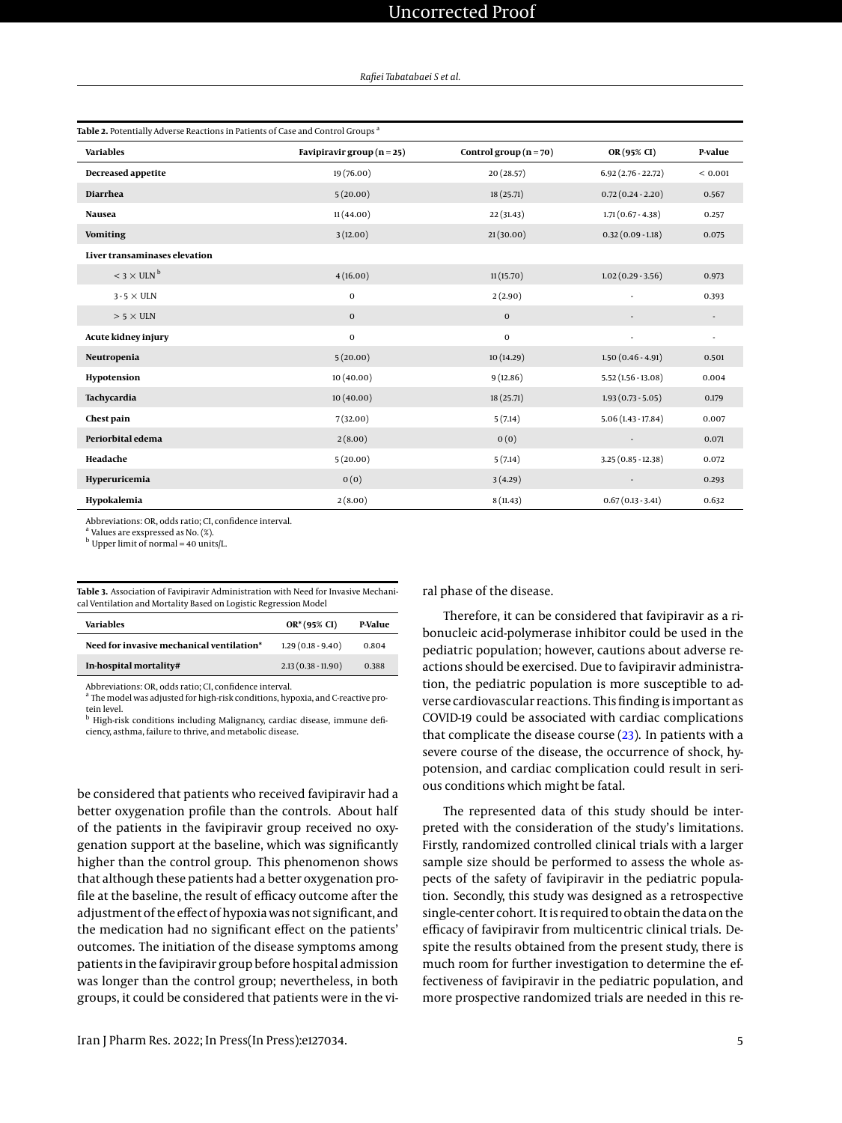<span id="page-4-0"></span>

| Table 2. Potentially Adverse Reactions in Patients of Case and Control Groups <sup>a</sup> |                                |                            |                          |                          |  |  |  |  |
|--------------------------------------------------------------------------------------------|--------------------------------|----------------------------|--------------------------|--------------------------|--|--|--|--|
| <b>Variables</b>                                                                           | Favipiravir group ( $n = 25$ ) | Control group ( $n = 70$ ) | OR(95% CI)               | P-value                  |  |  |  |  |
| Decreased appetite                                                                         | 19 (76.00)                     | 20 (28.57)                 | $6.92(2.76 - 22.72)$     | < 0.001                  |  |  |  |  |
| <b>Diarrhea</b>                                                                            | 5(20.00)                       | 18 (25.71)                 | $0.72(0.24 - 2.20)$      | 0.567                    |  |  |  |  |
| <b>Nausea</b>                                                                              | 11(44.00)                      | 22(31.43)                  | $1.71(0.67 - 4.38)$      | 0.257                    |  |  |  |  |
| <b>Vomiting</b>                                                                            | 3(12.00)                       | 21(30.00)                  | $0.32(0.09 - 1.18)$      | 0.075                    |  |  |  |  |
| Liver transaminases elevation                                                              |                                |                            |                          |                          |  |  |  |  |
| $<$ 3 $\times$ ULN $^{\rm b}$                                                              | 4(16.00)                       | 11(15.70)                  | $1.02(0.29 - 3.56)$      | 0.973                    |  |  |  |  |
| $3 - 5 \times$ ULN                                                                         | $\mathbf 0$                    | 2(2.90)                    |                          | 0.393                    |  |  |  |  |
| $> 5 \times$ ULN                                                                           | $\bf 0$                        | $\mathbf 0$                | $\overline{\phantom{a}}$ | $\overline{\phantom{a}}$ |  |  |  |  |
| Acute kidney injury                                                                        | $\bf{0}$                       | $\mathbf 0$                | ٠                        | ٠                        |  |  |  |  |
| Neutropenia                                                                                | 5(20.00)                       | 10(14.29)                  | $1.50(0.46 - 4.91)$      | 0.501                    |  |  |  |  |
| Hypotension                                                                                | 10(40.00)                      | 9(12.86)                   | $5.52(1.56 - 13.08)$     | 0.004                    |  |  |  |  |
| Tachycardia                                                                                | 10(40.00)                      | 18 (25.71)                 | $1.93(0.73 - 5.05)$      | 0.179                    |  |  |  |  |
| Chest pain                                                                                 | 7(32.00)                       | 5(7.14)                    | $5.06(1.43-17.84)$       | 0.007                    |  |  |  |  |
| Periorbital edema                                                                          | 2(8.00)                        | 0(0)                       |                          | 0.071                    |  |  |  |  |
| Headache                                                                                   | 5(20.00)                       | 5(7.14)                    | $3.25(0.85 - 12.38)$     | 0.072                    |  |  |  |  |
| Hyperuricemia                                                                              | 0(0)                           | 3(4.29)                    |                          | 0.293                    |  |  |  |  |
| Hypokalemia                                                                                | 2(8.00)                        | 8(11.43)                   | $0.67(0.13 - 3.41)$      | 0.632                    |  |  |  |  |

Abbreviations: OR, odds ratio; CI, confidence interval.

<sup>a</sup> Values are exspressed as No. (%).

 $<sup>b</sup>$  Upper limit of normal = 40 units/L.</sup>

<span id="page-4-1"></span>**Table 3.** Association of Favipiravir Administration with Need for Invasive Mechanical Ventilation and Mortality Based on Logistic Regression Model

| Variables                                 | $OR*(95% CI)$        | P-Value |
|-------------------------------------------|----------------------|---------|
| Need for invasive mechanical ventilation* | $1.29(0.18-9.40)$    | 0.804   |
| In-hospital mortality#                    | $2.13(0.38 - 11.90)$ | 0.388   |

Abbreviations: OR, odds ratio; CI, confidence interval.

<sup>a</sup> The model was adjusted for high-risk conditions, hypoxia, and C-reactive protein level.

 $^{\rm b}$  High-risk conditions including Malignancy, cardiac disease, immune deficiency, asthma, failure to thrive, and metabolic disease.

be considered that patients who received favipiravir had a better oxygenation profile than the controls. About half of the patients in the favipiravir group received no oxygenation support at the baseline, which was significantly higher than the control group. This phenomenon shows that although these patients had a better oxygenation profile at the baseline, the result of efficacy outcome after the adjustment of the effect of hypoxia was not significant, and the medication had no significant effect on the patients' outcomes. The initiation of the disease symptoms among patients in the favipiravir group before hospital admission was longer than the control group; nevertheless, in both groups, it could be considered that patients were in the viral phase of the disease.

Therefore, it can be considered that favipiravir as a ribonucleic acid-polymerase inhibitor could be used in the pediatric population; however, cautions about adverse reactions should be exercised. Due to favipiravir administration, the pediatric population is more susceptible to adverse cardiovascular reactions. This finding is important as COVID-19 could be associated with cardiac complications that complicate the disease course [\(23\)](#page-6-7). In patients with a severe course of the disease, the occurrence of shock, hypotension, and cardiac complication could result in serious conditions which might be fatal.

The represented data of this study should be interpreted with the consideration of the study's limitations. Firstly, randomized controlled clinical trials with a larger sample size should be performed to assess the whole aspects of the safety of favipiravir in the pediatric population. Secondly, this study was designed as a retrospective single-center cohort. It is required to obtain the data on the efficacy of favipiravir from multicentric clinical trials. Despite the results obtained from the present study, there is much room for further investigation to determine the effectiveness of favipiravir in the pediatric population, and more prospective randomized trials are needed in this re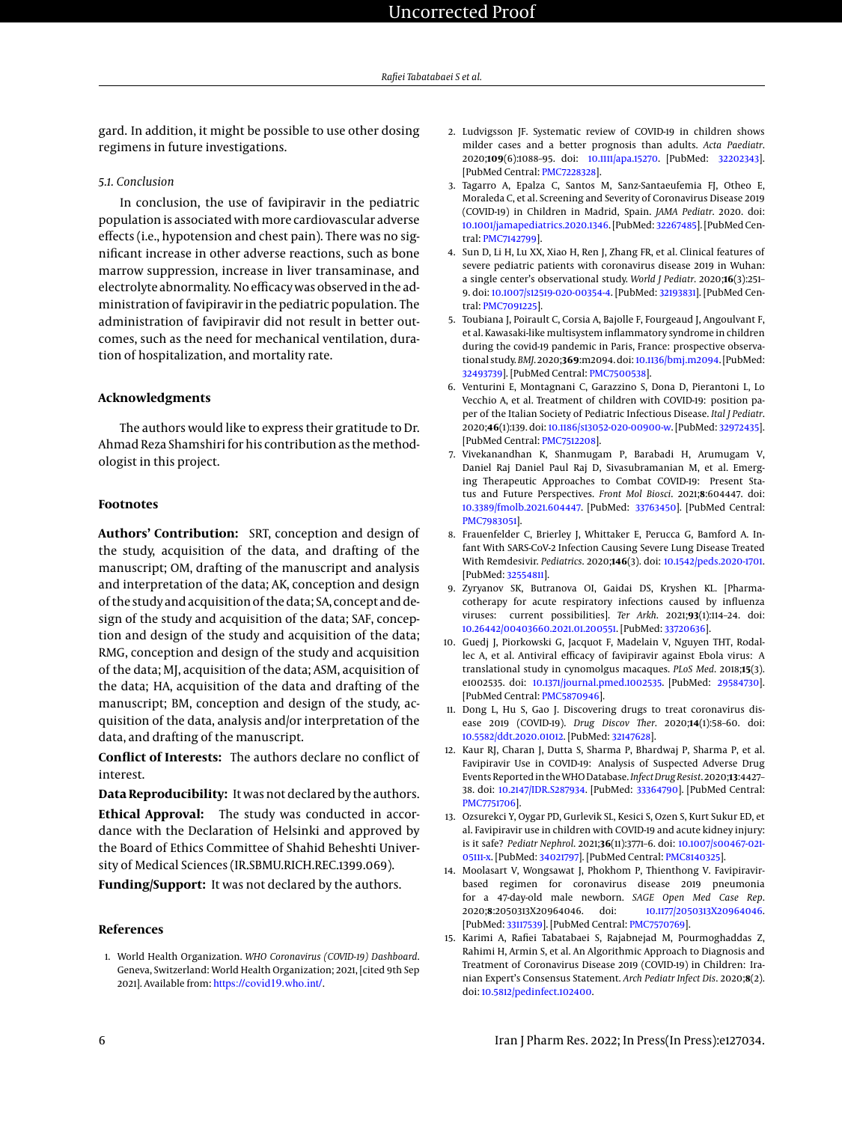gard. In addition, it might be possible to use other dosing regimens in future investigations.

#### *5.1. Conclusion*

In conclusion, the use of favipiravir in the pediatric population is associated with more cardiovascular adverse effects (i.e., hypotension and chest pain). There was no significant increase in other adverse reactions, such as bone marrow suppression, increase in liver transaminase, and electrolyte abnormality. No efficacy was observed in the administration of favipiravir in the pediatric population. The administration of favipiravir did not result in better outcomes, such as the need for mechanical ventilation, duration of hospitalization, and mortality rate.

## **Acknowledgments**

The authors would like to express their gratitude to Dr. Ahmad Reza Shamshiri for his contribution as the methodologist in this project.

### **Footnotes**

**Authors' Contribution:** SRT, conception and design of the study, acquisition of the data, and drafting of the manuscript; OM, drafting of the manuscript and analysis and interpretation of the data; AK, conception and design of the study and acquisition of the data; SA, concept and design of the study and acquisition of the data; SAF, conception and design of the study and acquisition of the data; RMG, conception and design of the study and acquisition of the data; MJ, acquisition of the data; ASM, acquisition of the data; HA, acquisition of the data and drafting of the manuscript; BM, conception and design of the study, acquisition of the data, analysis and/or interpretation of the data, and drafting of the manuscript.

**Conflict of Interests:** The authors declare no conflict of interest.

**Data Reproducibility:** It was not declared by the authors. **Ethical Approval:** The study was conducted in accordance with the Declaration of Helsinki and approved by the Board of Ethics Committee of Shahid Beheshti Univer-

sity of Medical Sciences (IR.SBMU.RICH.REC.1399.069). **Funding/Support:** It was not declared by the authors.

#### **References**

<span id="page-5-0"></span>1. World Health Organization. *WHO Coronavirus (COVID-19) Dashboard*. Geneva, Switzerland: World Health Organization; 2021, [cited 9th Sep 2021]. Available from: <https://covid19.who.int/>.

- <span id="page-5-1"></span>2. Ludvigsson JF. Systematic review of COVID-19 in children shows milder cases and a better prognosis than adults. *Acta Paediatr*. 2020;**109**(6):1088–95. doi: [10.1111/apa.15270.](http://dx.doi.org/10.1111/apa.15270) [PubMed: [32202343\]](http://www.ncbi.nlm.nih.gov/pubmed/32202343). [PubMed Central: [PMC7228328\]](https://www.ncbi.nlm.nih.gov/pmc/articles/PMC7228328).
- <span id="page-5-2"></span>3. Tagarro A, Epalza C, Santos M, Sanz-Santaeufemia FJ, Otheo E, Moraleda C, et al. Screening and Severity of Coronavirus Disease 2019 (COVID-19) in Children in Madrid, Spain. *JAMA Pediatr*. 2020. doi: [10.1001/jamapediatrics.2020.1346.](http://dx.doi.org/10.1001/jamapediatrics.2020.1346) [PubMed: [32267485\]](http://www.ncbi.nlm.nih.gov/pubmed/32267485). [PubMed Central: [PMC7142799\]](https://www.ncbi.nlm.nih.gov/pmc/articles/PMC7142799).
- 4. Sun D, Li H, Lu XX, Xiao H, Ren J, Zhang FR, et al. Clinical features of severe pediatric patients with coronavirus disease 2019 in Wuhan: a single center's observational study. *World J Pediatr*. 2020;**16**(3):251– 9. doi: [10.1007/s12519-020-00354-4.](http://dx.doi.org/10.1007/s12519-020-00354-4) [PubMed: [32193831\]](http://www.ncbi.nlm.nih.gov/pubmed/32193831). [PubMed Central: [PMC7091225\]](https://www.ncbi.nlm.nih.gov/pmc/articles/PMC7091225).
- <span id="page-5-3"></span>5. Toubiana J, Poirault C, Corsia A, Bajolle F, Fourgeaud J, Angoulvant F, et al. Kawasaki-like multisystem inflammatory syndrome in children during the covid-19 pandemic in Paris, France: prospective observational study. *BMJ*. 2020;**369**:m2094. doi: [10.1136/bmj.m2094.](http://dx.doi.org/10.1136/bmj.m2094) [PubMed: [32493739\]](http://www.ncbi.nlm.nih.gov/pubmed/32493739). [PubMed Central: [PMC7500538\]](https://www.ncbi.nlm.nih.gov/pmc/articles/PMC7500538).
- <span id="page-5-4"></span>6. Venturini E, Montagnani C, Garazzino S, Dona D, Pierantoni L, Lo Vecchio A, et al. Treatment of children with COVID-19: position paper of the Italian Society of Pediatric Infectious Disease. *Ital J Pediatr*. 2020;**46**(1):139. doi: [10.1186/s13052-020-00900-w.](http://dx.doi.org/10.1186/s13052-020-00900-w) [PubMed: [32972435\]](http://www.ncbi.nlm.nih.gov/pubmed/32972435). [PubMed Central: [PMC7512208\]](https://www.ncbi.nlm.nih.gov/pmc/articles/PMC7512208).
- <span id="page-5-5"></span>7. Vivekanandhan K, Shanmugam P, Barabadi H, Arumugam V, Daniel Raj Daniel Paul Raj D, Sivasubramanian M, et al. Emerging Therapeutic Approaches to Combat COVID-19: Present Status and Future Perspectives. *Front Mol Biosci*. 2021;**8**:604447. doi: [10.3389/fmolb.2021.604447.](http://dx.doi.org/10.3389/fmolb.2021.604447) [PubMed: [33763450\]](http://www.ncbi.nlm.nih.gov/pubmed/33763450). [PubMed Central: [PMC7983051\]](https://www.ncbi.nlm.nih.gov/pmc/articles/PMC7983051).
- <span id="page-5-6"></span>8. Frauenfelder C, Brierley J, Whittaker E, Perucca G, Bamford A. Infant With SARS-CoV-2 Infection Causing Severe Lung Disease Treated With Remdesivir. *Pediatrics*. 2020;**146**(3). doi: [10.1542/peds.2020-1701.](http://dx.doi.org/10.1542/peds.2020-1701) [PubMed: [32554811\]](http://www.ncbi.nlm.nih.gov/pubmed/32554811).
- <span id="page-5-7"></span>9. Zyryanov SK, Butranova OI, Gaidai DS, Kryshen KL. [Pharmacotherapy for acute respiratory infections caused by influenza viruses: current possibilities]. *Ter Arkh*. 2021;**93**(1):114–24. doi: [10.26442/00403660.2021.01.200551.](http://dx.doi.org/10.26442/00403660.2021.01.200551) [PubMed: [33720636\]](http://www.ncbi.nlm.nih.gov/pubmed/33720636).
- <span id="page-5-8"></span>10. Guedj J, Piorkowski G, Jacquot F, Madelain V, Nguyen THT, Rodallec A, et al. Antiviral efficacy of favipiravir against Ebola virus: A translational study in cynomolgus macaques. *PLoS Med*. 2018;**15**(3). e1002535. doi: [10.1371/journal.pmed.1002535.](http://dx.doi.org/10.1371/journal.pmed.1002535) [PubMed: [29584730\]](http://www.ncbi.nlm.nih.gov/pubmed/29584730). [PubMed Central: [PMC5870946\]](https://www.ncbi.nlm.nih.gov/pmc/articles/PMC5870946).
- <span id="page-5-9"></span>11. Dong L, Hu S, Gao J. Discovering drugs to treat coronavirus disease 2019 (COVID-19). *Drug Discov Ther*. 2020;**14**(1):58–60. doi: [10.5582/ddt.2020.01012.](http://dx.doi.org/10.5582/ddt.2020.01012) [PubMed: [32147628\]](http://www.ncbi.nlm.nih.gov/pubmed/32147628).
- <span id="page-5-10"></span>12. Kaur RJ, Charan J, Dutta S, Sharma P, Bhardwaj P, Sharma P, et al. Favipiravir Use in COVID-19: Analysis of Suspected Adverse Drug Events Reported in theWHODatabase.*Infect Drug Resist*. 2020;**13**:4427– 38. doi: [10.2147/IDR.S287934.](http://dx.doi.org/10.2147/IDR.S287934) [PubMed: [33364790\]](http://www.ncbi.nlm.nih.gov/pubmed/33364790). [PubMed Central: [PMC7751706\]](https://www.ncbi.nlm.nih.gov/pmc/articles/PMC7751706).
- <span id="page-5-11"></span>13. Ozsurekci Y, Oygar PD, Gurlevik SL, Kesici S, Ozen S, Kurt Sukur ED, et al. Favipiravir use in children with COVID-19 and acute kidney injury: is it safe? *Pediatr Nephrol*. 2021;**36**(11):3771–6. doi: [10.1007/s00467-021-](http://dx.doi.org/10.1007/s00467-021-05111-x) [05111-x.](http://dx.doi.org/10.1007/s00467-021-05111-x) [PubMed: [34021797\]](http://www.ncbi.nlm.nih.gov/pubmed/34021797). [PubMed Central: [PMC8140325\]](https://www.ncbi.nlm.nih.gov/pmc/articles/PMC8140325).
- <span id="page-5-12"></span>14. Moolasart V, Wongsawat J, Phokhom P, Thienthong V. Favipiravirbased regimen for coronavirus disease 2019 pneumonia for a 47-day-old male newborn. *SAGE Open Med Case Rep*. 2020;**8**:2050313X20964046. doi: [10.1177/2050313X20964046.](http://dx.doi.org/10.1177/2050313X20964046) [PubMed: [33117539\]](http://www.ncbi.nlm.nih.gov/pubmed/33117539). [PubMed Central: [PMC7570769\]](https://www.ncbi.nlm.nih.gov/pmc/articles/PMC7570769).
- <span id="page-5-13"></span>15. Karimi A, Rafiei Tabatabaei S, Rajabnejad M, Pourmoghaddas Z, Rahimi H, Armin S, et al. An Algorithmic Approach to Diagnosis and Treatment of Coronavirus Disease 2019 (COVID-19) in Children: Iranian Expert's Consensus Statement. *Arch Pediatr Infect Dis*. 2020;**8**(2). doi: [10.5812/pedinfect.102400.](http://dx.doi.org/10.5812/pedinfect.102400)